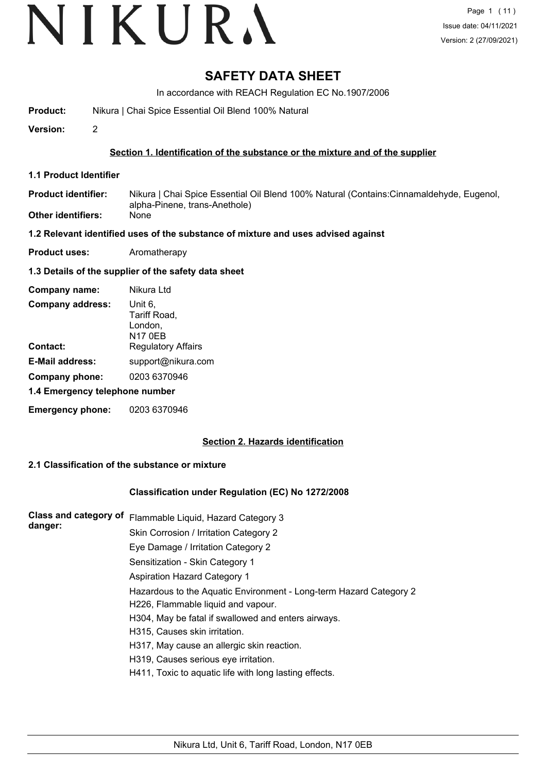# **SAFETY DATA SHEET**

In accordance with REACH Regulation EC No.1907/2006

**Product:** Nikura | Chai Spice Essential Oil Blend 100% Natural

**Version:** 2

### **Section 1. Identification of the substance or the mixture and of the supplier**

**1.1 Product Identifier**

Nikura | Chai Spice Essential Oil Blend 100% Natural (Contains:Cinnamaldehyde, Eugenol, alpha-Pinene, trans-Anethole) **Product identifier: Other identifiers:** None

### **1.2 Relevant identified uses of the substance of mixture and uses advised against**

**Product uses:** Aromatherapy

### **1.3 Details of the supplier of the safety data sheet**

| Company name:                  | Nikura Ltd                                           |  |  |
|--------------------------------|------------------------------------------------------|--|--|
| <b>Company address:</b>        | Unit 6,<br>Tariff Road,<br>London,<br><b>N17 0EB</b> |  |  |
| Contact:                       | <b>Regulatory Affairs</b>                            |  |  |
| <b>E-Mail address:</b>         | support@nikura.com                                   |  |  |
| Company phone:                 | 0203 6370946                                         |  |  |
| 1.4 Emergency telephone number |                                                      |  |  |
| <b>Emergency phone:</b>        | 0203 6370946                                         |  |  |

## **Section 2. Hazards identification**

## **2.1 Classification of the substance or mixture**

## **Classification under Regulation (EC) No 1272/2008**

| <b>Class and category of</b> | Flammable Liquid, Hazard Category 3                                |  |  |  |  |
|------------------------------|--------------------------------------------------------------------|--|--|--|--|
| danger:                      | Skin Corrosion / Irritation Category 2                             |  |  |  |  |
|                              | Eye Damage / Irritation Category 2                                 |  |  |  |  |
|                              | Sensitization - Skin Category 1                                    |  |  |  |  |
|                              | <b>Aspiration Hazard Category 1</b>                                |  |  |  |  |
|                              | Hazardous to the Aquatic Environment - Long-term Hazard Category 2 |  |  |  |  |
|                              | H226, Flammable liquid and vapour.                                 |  |  |  |  |
|                              | H304, May be fatal if swallowed and enters airways.                |  |  |  |  |
|                              | H315, Causes skin irritation.                                      |  |  |  |  |
|                              | H317, May cause an allergic skin reaction.                         |  |  |  |  |
|                              | H319, Causes serious eye irritation.                               |  |  |  |  |
|                              | H411, Toxic to aquatic life with long lasting effects.             |  |  |  |  |
|                              |                                                                    |  |  |  |  |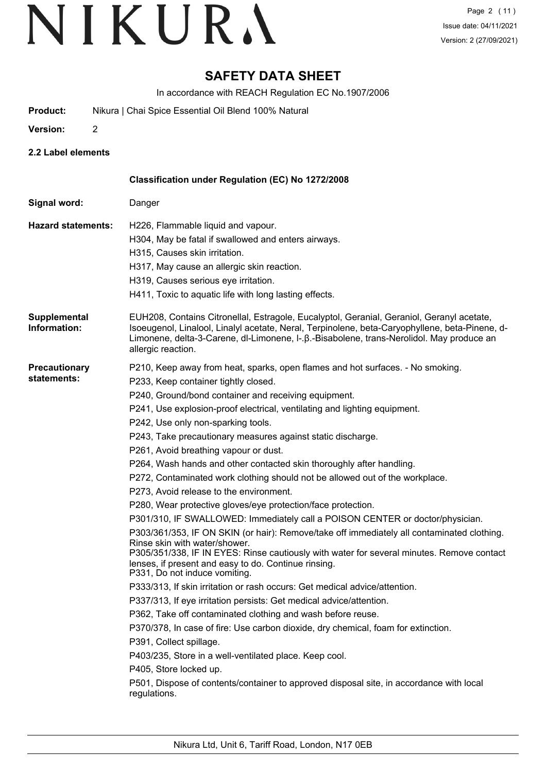# **SAFETY DATA SHEET**

In accordance with REACH Regulation EC No.1907/2006

- **Product:** Nikura | Chai Spice Essential Oil Blend 100% Natural
- **Version:** 2
- **2.2 Label elements**

|                                     | Classification under Regulation (EC) No 1272/2008                                                                                                                                                                                                                                                                                                                                                                                                                                                                                                                                                                                                                                                                                                                                                                                                                                                                                                                                                                                                                                                                                                                                                                                                                                                                                                                                                                                                                                                                                                                                                                     |
|-------------------------------------|-----------------------------------------------------------------------------------------------------------------------------------------------------------------------------------------------------------------------------------------------------------------------------------------------------------------------------------------------------------------------------------------------------------------------------------------------------------------------------------------------------------------------------------------------------------------------------------------------------------------------------------------------------------------------------------------------------------------------------------------------------------------------------------------------------------------------------------------------------------------------------------------------------------------------------------------------------------------------------------------------------------------------------------------------------------------------------------------------------------------------------------------------------------------------------------------------------------------------------------------------------------------------------------------------------------------------------------------------------------------------------------------------------------------------------------------------------------------------------------------------------------------------------------------------------------------------------------------------------------------------|
| Signal word:                        | Danger                                                                                                                                                                                                                                                                                                                                                                                                                                                                                                                                                                                                                                                                                                                                                                                                                                                                                                                                                                                                                                                                                                                                                                                                                                                                                                                                                                                                                                                                                                                                                                                                                |
| <b>Hazard statements:</b>           | H226, Flammable liquid and vapour.<br>H304, May be fatal if swallowed and enters airways.<br>H315, Causes skin irritation.<br>H317, May cause an allergic skin reaction.<br>H319, Causes serious eye irritation.<br>H411, Toxic to aquatic life with long lasting effects.                                                                                                                                                                                                                                                                                                                                                                                                                                                                                                                                                                                                                                                                                                                                                                                                                                                                                                                                                                                                                                                                                                                                                                                                                                                                                                                                            |
| Supplemental<br>Information:        | EUH208, Contains Citronellal, Estragole, Eucalyptol, Geranial, Geraniol, Geranyl acetate,<br>Isoeugenol, Linalool, Linalyl acetate, Neral, Terpinolene, beta-Caryophyllene, beta-Pinene, d-<br>Limonene, delta-3-Carene, dl-Limonene, I-. $\beta$ .-Bisabolene, trans-Nerolidol. May produce an<br>allergic reaction.                                                                                                                                                                                                                                                                                                                                                                                                                                                                                                                                                                                                                                                                                                                                                                                                                                                                                                                                                                                                                                                                                                                                                                                                                                                                                                 |
| <b>Precautionary</b><br>statements: | P210, Keep away from heat, sparks, open flames and hot surfaces. - No smoking.<br>P233, Keep container tightly closed.<br>P240, Ground/bond container and receiving equipment.<br>P241, Use explosion-proof electrical, ventilating and lighting equipment.<br>P242, Use only non-sparking tools.<br>P243, Take precautionary measures against static discharge.<br>P261, Avoid breathing vapour or dust.<br>P264, Wash hands and other contacted skin thoroughly after handling.<br>P272, Contaminated work clothing should not be allowed out of the workplace.<br>P273, Avoid release to the environment.<br>P280, Wear protective gloves/eye protection/face protection.<br>P301/310, IF SWALLOWED: Immediately call a POISON CENTER or doctor/physician.<br>P303/361/353, IF ON SKIN (or hair): Remove/take off immediately all contaminated clothing.<br>Rinse skin with water/shower.<br>P305/351/338, IF IN EYES: Rinse cautiously with water for several minutes. Remove contact<br>lenses, if present and easy to do. Continue rinsing.<br>P331, Do not induce vomiting.<br>P333/313, If skin irritation or rash occurs: Get medical advice/attention.<br>P337/313, If eye irritation persists: Get medical advice/attention.<br>P362, Take off contaminated clothing and wash before reuse.<br>P370/378, In case of fire: Use carbon dioxide, dry chemical, foam for extinction.<br>P391, Collect spillage.<br>P403/235, Store in a well-ventilated place. Keep cool.<br>P405, Store locked up.<br>P501, Dispose of contents/container to approved disposal site, in accordance with local<br>regulations. |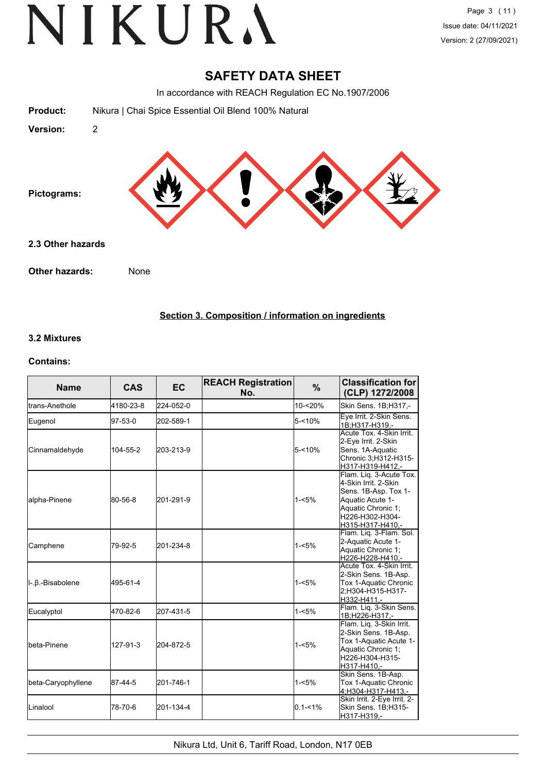## **SAFETY DATA SHEET**

In accordance with REACH Regulation EC No.1907/2006



## **Section 3. Composition / information on ingredients**

#### **3.2 Mixtures**

#### **Contains:**

| <b>Name</b>          | <b>CAS</b> | EC.       | <b>REACH Registration</b><br>No. | $\%$        | <b>Classification for</b><br>(CLP) 1272/2008                                                                                                             |
|----------------------|------------|-----------|----------------------------------|-------------|----------------------------------------------------------------------------------------------------------------------------------------------------------|
| Itrans-Anethole      | 4180-23-8  | 224-052-0 |                                  | 10-<20%     | Skin Sens. 1B;H317,-                                                                                                                                     |
| Eugenol              | 97-53-0    | 202-589-1 |                                  | $5 - 10%$   | Eye Irrit. 2-Skin Sens.<br>1B:H317-H319.-                                                                                                                |
| Cinnamaldehyde       | 104-55-2   | 203-213-9 |                                  | $5 - 10%$   | Acute Tox. 4-Skin Irrit.<br>2-Eye Irrit. 2-Skin<br>Sens. 1A-Aquatic<br>Chronic 3;H312-H315-<br>H317-H319-H412.-                                          |
| alpha-Pinene         | 80-56-8    | 201-291-9 |                                  | $1 - 5%$    | Flam. Liq. 3-Acute Tox.<br>4-Skin Irrit. 2-Skin<br>Sens. 1B-Asp. Tox 1-<br>Aquatic Acute 1-<br>Aquatic Chronic 1:<br>H226-H302-H304-<br>H315-H317-H410,- |
| Camphene             | 79-92-5    | 201-234-8 |                                  | $1 - 5%$    | Flam. Lig. 3-Flam. Sol.<br>2-Aquatic Acute 1-<br>Aquatic Chronic 1;<br>H226-H228-H410,-                                                                  |
| II-.β.-Bisabolene    | 495-61-4   |           |                                  | $1 - 5%$    | Acute Tox. 4-Skin Irrit.<br>2-Skin Sens. 1B-Asp.<br>Tox 1-Aquatic Chronic<br>2:H304-H315-H317-<br>H332-H411,-                                            |
| Eucalyptol           | 470-82-6   | 207-431-5 |                                  | $1 - 5%$    | Flam. Lig. 3-Skin Sens.<br>1B;H226-H317,-                                                                                                                |
| <b>I</b> beta-Pinene | 127-91-3   | 204-872-5 |                                  | $1 - 5%$    | Flam. Lig. 3-Skin Irrit.<br>2-Skin Sens. 1B-Asp.<br>Tox 1-Aquatic Acute 1-<br>Aquatic Chronic 1:<br>H226-H304-H315-<br>H317-H410.-                       |
| beta-Caryophyllene   | 87-44-5    | 201-746-1 |                                  | $1 - 5%$    | Skin Sens. 1B-Asp.<br>Tox 1-Aquatic Chronic<br>4;H304-H317-H413,-                                                                                        |
| <b>L</b> inalool     | 78-70-6    | 201-134-4 |                                  | $0.1 - 1\%$ | Skin Irrit. 2-Eye Irrit. 2-<br>Skin Sens. 1B;H315-<br>H317-H319,-                                                                                        |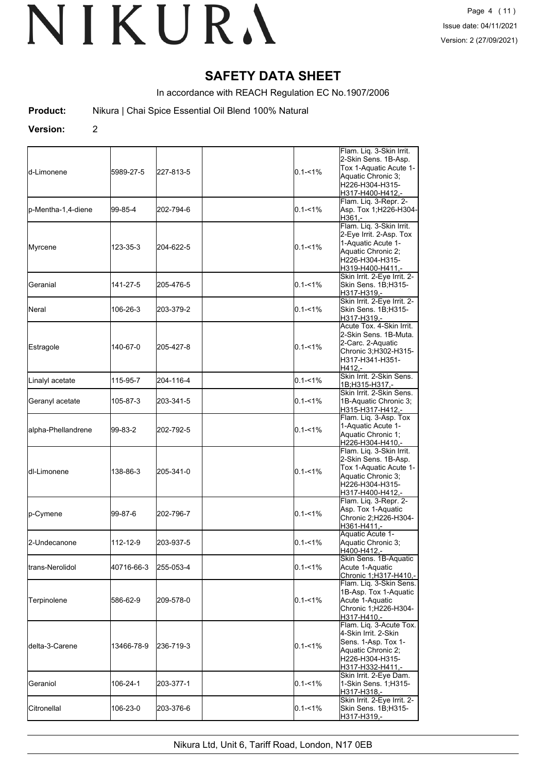# **SAFETY DATA SHEET**

In accordance with REACH Regulation EC No.1907/2006

**Product:** Nikura | Chai Spice Essential Oil Blend 100% Natural

**Version:** 2

| ld-Limonene        | 5989-27-5  | 227-813-5 | $0.1 - 1\%$ | Flam. Liq. 3-Skin Irrit.<br>2-Skin Sens. 1B-Asp.<br>Tox 1-Aquatic Acute 1-<br>Aquatic Chronic 3:<br>H226-H304-H315-<br>H317-H400-H412.- |
|--------------------|------------|-----------|-------------|-----------------------------------------------------------------------------------------------------------------------------------------|
| p-Mentha-1,4-diene | 99-85-4    | 202-794-6 | $0.1 - 1\%$ | Flam. Liq. 3-Repr. 2-<br>Asp. Tox 1; H226-H304-<br>H361.-                                                                               |
| Myrcene            | 123-35-3   | 204-622-5 | $0.1 - 1\%$ | Flam. Liq. 3-Skin Irrit.<br>2-Eye Irrit. 2-Asp. Tox<br>1-Aquatic Acute 1-<br>Aquatic Chronic 2;<br>H226-H304-H315-<br>H319-H400-H411,-  |
| Geranial           | 141-27-5   | 205-476-5 | $0.1 - 1\%$ | Skin Irrit. 2-Eye Irrit. 2-<br>Skin Sens. 1B;H315-<br>H317-H319,-                                                                       |
| Neral              | 106-26-3   | 203-379-2 | $0.1 - 1\%$ | Skin Irrit. 2-Eye Irrit. 2-<br>Skin Sens. 1B;H315-<br>H317-H319,-                                                                       |
| Estragole          | 140-67-0   | 205-427-8 | $0.1 - 1\%$ | Acute Tox. 4-Skin Irrit.<br>2-Skin Sens. 1B-Muta.<br>2-Carc. 2-Aquatic<br>Chronic 3;H302-H315-<br>H317-H341-H351-<br>H412.-             |
| Linalyl acetate    | 115-95-7   | 204-116-4 | $0.1 - 1\%$ | Skin Irrit. 2-Skin Sens.<br>1B;H315-H317,-                                                                                              |
| Geranyl acetate    | 105-87-3   | 203-341-5 | $0.1 - 1\%$ | Skin Irrit, 2-Skin Sens.<br>1B-Aquatic Chronic 3;<br><u>H315-H317-H412,-</u>                                                            |
| alpha-Phellandrene | 99-83-2    | 202-792-5 | $0.1 - 1\%$ | Flam. Liq. 3-Asp. Tox<br>1-Aquatic Acute 1-<br>Aquatic Chronic 1;<br>H226-H304-H410,-                                                   |
| ldl-Limonene       | 138-86-3   | 205-341-0 | $0.1 - 1\%$ | Flam. Liq. 3-Skin Irrit.<br>2-Skin Sens. 1B-Asp.<br>Tox 1-Aquatic Acute 1-<br>Aquatic Chronic 3;<br>H226-H304-H315-<br>H317-H400-H412,- |
| p-Cymene           | 99-87-6    | 202-796-7 | $0.1 - 1\%$ | Flam. Liq. 3-Repr. 2-<br>Asp. Tox 1-Aquatic<br>Chronic 2;H226-H304-<br>H361-H411,-                                                      |
| 2-Undecanone       | 112-12-9   | 203-937-5 | $0.1 - 1\%$ | Aquatic Acute 1-<br>Aquatic Chronic 3:<br>H400-H412,-                                                                                   |
| trans-Nerolidol    | 40716-66-3 | 255-053-4 | $0.1 - 1\%$ | Skin Sens. 1B-Aquatic<br>Acute 1-Aquatic<br>Chronic 1;H317-H410,-                                                                       |
| Terpinolene        | 586-62-9   | 209-578-0 | $0.1 - 1\%$ | Flam. Lig. 3-Skin Sens.<br>1B-Asp. Tox 1-Aquatic<br>Acute 1-Aquatic<br>Chronic 1;H226-H304-<br>H317-H410,-                              |
| ldelta-3-Carene    | 13466-78-9 | 236-719-3 | $0.1 - 1\%$ | Flam. Lig. 3-Acute Tox.<br>4-Skin Irrit. 2-Skin<br>Sens. 1-Asp. Tox 1-<br>Aquatic Chronic 2;<br>H226-H304-H315-<br>H317-H332-H411.-     |
| Geraniol           | 106-24-1   | 203-377-1 | $0.1 - 1\%$ | Skin Irrit. 2-Eye Dam.<br>1-Skin Sens. 1;H315-<br>H317-H318,-                                                                           |
| Citronellal        | 106-23-0   | 203-376-6 | $0.1 - 1\%$ | Skin Irrit. 2-Eye Irrit. 2-<br>Skin Sens. 1B;H315-<br>H317-H319,-                                                                       |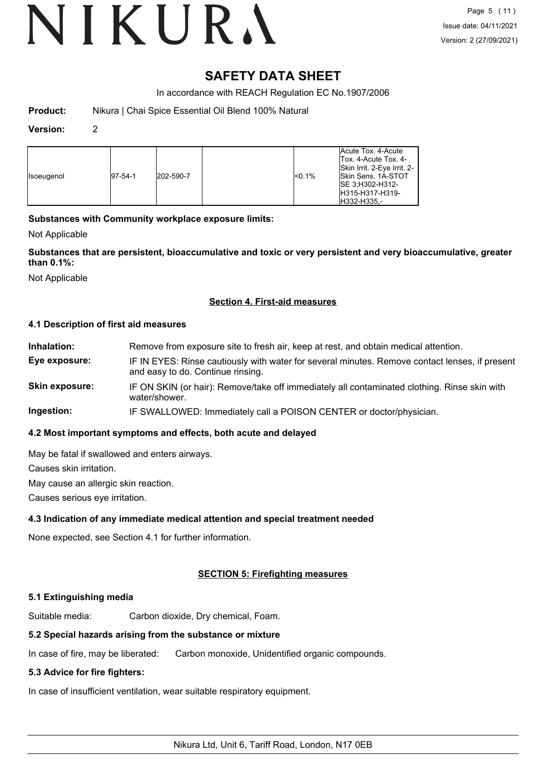# VIKURA

## **SAFETY DATA SHEET**

In accordance with REACH Regulation EC No.1907/2006

| <b>Product:</b> | Nikura   Chai Spice Essential Oil Blend 100% Natural |
|-----------------|------------------------------------------------------|
|-----------------|------------------------------------------------------|

#### **Version:** 2

| <b>Isoeugenol</b> | $ 97-54-1 $ | 202-590-7 | $<$ 0.1% | Acute Tox, 4-Acute<br>Tox. 4-Acute Tox. 4-<br>Skin Irrit. 2-Eye Irrit. 2-<br><b>Skin Sens. 1A-STOT</b><br>ISE 3:H302-H312-<br>IH315-H317-H319-<br>IH332-H335.- |
|-------------------|-------------|-----------|----------|----------------------------------------------------------------------------------------------------------------------------------------------------------------|
|-------------------|-------------|-----------|----------|----------------------------------------------------------------------------------------------------------------------------------------------------------------|

## **Substances with Community workplace exposure limits:**

Not Applicable

**Substances that are persistent, bioaccumulative and toxic or very persistent and very bioaccumulative, greater than 0.1%:**

Not Applicable

#### **Section 4. First-aid measures**

#### **4.1 Description of first aid measures**

| Inhalation:    | Remove from exposure site to fresh air, keep at rest, and obtain medical attention.                                                 |
|----------------|-------------------------------------------------------------------------------------------------------------------------------------|
| Eye exposure:  | IF IN EYES: Rinse cautiously with water for several minutes. Remove contact lenses, if present<br>and easy to do. Continue rinsing. |
| Skin exposure: | IF ON SKIN (or hair): Remove/take off immediately all contaminated clothing. Rinse skin with<br>water/shower.                       |
| Ingestion:     | IF SWALLOWED: Immediately call a POISON CENTER or doctor/physician.                                                                 |

#### **4.2 Most important symptoms and effects, both acute and delayed**

May be fatal if swallowed and enters airways.

Causes skin irritation.

May cause an allergic skin reaction.

Causes serious eye irritation.

#### **4.3 Indication of any immediate medical attention and special treatment needed**

None expected, see Section 4.1 for further information.

## **SECTION 5: Firefighting measures**

#### **5.1 Extinguishing media**

Suitable media: Carbon dioxide, Dry chemical, Foam.

#### **5.2 Special hazards arising from the substance or mixture**

In case of fire, may be liberated: Carbon monoxide, Unidentified organic compounds.

#### **5.3 Advice for fire fighters:**

In case of insufficient ventilation, wear suitable respiratory equipment.

Nikura Ltd, Unit 6, Tariff Road, London, N17 0EB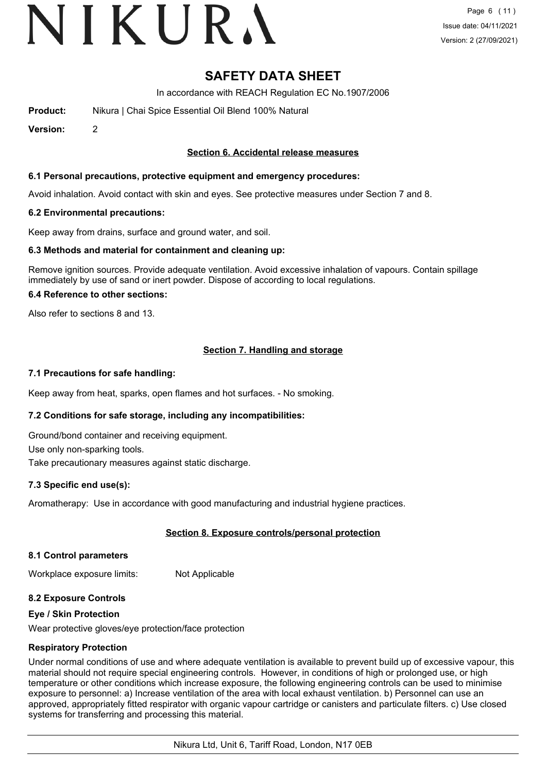# VIKURA

# **SAFETY DATA SHEET**

In accordance with REACH Regulation EC No.1907/2006

**Product:** Nikura | Chai Spice Essential Oil Blend 100% Natural

**Version:** 2

#### **Section 6. Accidental release measures**

#### **6.1 Personal precautions, protective equipment and emergency procedures:**

Avoid inhalation. Avoid contact with skin and eyes. See protective measures under Section 7 and 8.

#### **6.2 Environmental precautions:**

Keep away from drains, surface and ground water, and soil.

#### **6.3 Methods and material for containment and cleaning up:**

Remove ignition sources. Provide adequate ventilation. Avoid excessive inhalation of vapours. Contain spillage immediately by use of sand or inert powder. Dispose of according to local regulations.

#### **6.4 Reference to other sections:**

Also refer to sections 8 and 13.

## **Section 7. Handling and storage**

#### **7.1 Precautions for safe handling:**

Keep away from heat, sparks, open flames and hot surfaces. - No smoking.

#### **7.2 Conditions for safe storage, including any incompatibilities:**

Ground/bond container and receiving equipment.

Use only non-sparking tools.

Take precautionary measures against static discharge.

#### **7.3 Specific end use(s):**

Aromatherapy: Use in accordance with good manufacturing and industrial hygiene practices.

#### **Section 8. Exposure controls/personal protection**

#### **8.1 Control parameters**

Workplace exposure limits: Not Applicable

#### **8.2 Exposure Controls**

#### **Eye / Skin Protection**

Wear protective gloves/eye protection/face protection

#### **Respiratory Protection**

Under normal conditions of use and where adequate ventilation is available to prevent build up of excessive vapour, this material should not require special engineering controls. However, in conditions of high or prolonged use, or high temperature or other conditions which increase exposure, the following engineering controls can be used to minimise exposure to personnel: a) Increase ventilation of the area with local exhaust ventilation. b) Personnel can use an approved, appropriately fitted respirator with organic vapour cartridge or canisters and particulate filters. c) Use closed systems for transferring and processing this material.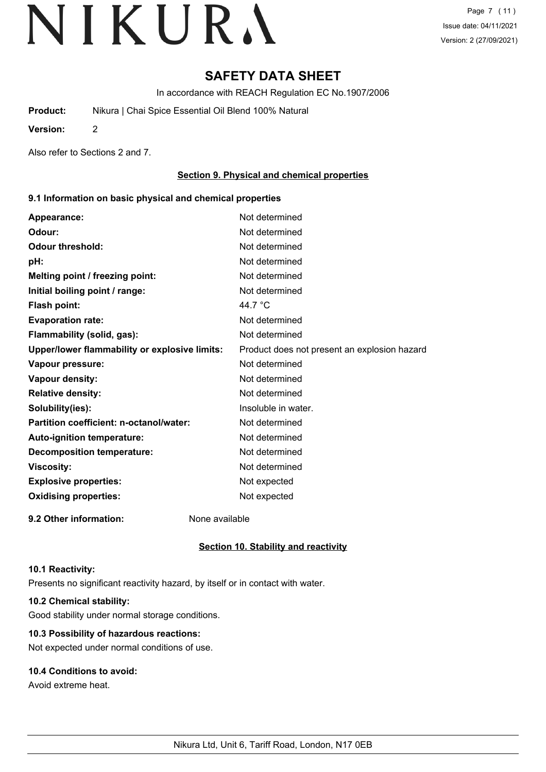# **SAFETY DATA SHEET**

In accordance with REACH Regulation EC No.1907/2006

**Product:** Nikura | Chai Spice Essential Oil Blend 100% Natural

**Version:** 2

Also refer to Sections 2 and 7.

### **Section 9. Physical and chemical properties**

#### **9.1 Information on basic physical and chemical properties**

| Appearance:                                   | Not determined                               |
|-----------------------------------------------|----------------------------------------------|
| Odour:                                        | Not determined                               |
| <b>Odour threshold:</b>                       | Not determined                               |
| pH:                                           | Not determined                               |
| Melting point / freezing point:               | Not determined                               |
| Initial boiling point / range:                | Not determined                               |
| Flash point:                                  | 44.7 $\degree$ C                             |
| <b>Evaporation rate:</b>                      | Not determined                               |
| Flammability (solid, gas):                    | Not determined                               |
| Upper/lower flammability or explosive limits: | Product does not present an explosion hazard |
| Vapour pressure:                              | Not determined                               |
| Vapour density:                               | Not determined                               |
| <b>Relative density:</b>                      | Not determined                               |
| Solubility(ies):                              | Insoluble in water.                          |
| Partition coefficient: n-octanol/water:       | Not determined                               |
| Auto-ignition temperature:                    | Not determined                               |
| <b>Decomposition temperature:</b>             | Not determined                               |
| <b>Viscosity:</b>                             | Not determined                               |
| <b>Explosive properties:</b>                  | Not expected                                 |
| <b>Oxidising properties:</b>                  | Not expected                                 |
|                                               |                                              |

**9.2 Other information:** None available

## **Section 10. Stability and reactivity**

#### **10.1 Reactivity:**

Presents no significant reactivity hazard, by itself or in contact with water.

## **10.2 Chemical stability:**

Good stability under normal storage conditions.

## **10.3 Possibility of hazardous reactions:**

Not expected under normal conditions of use.

## **10.4 Conditions to avoid:**

Avoid extreme heat.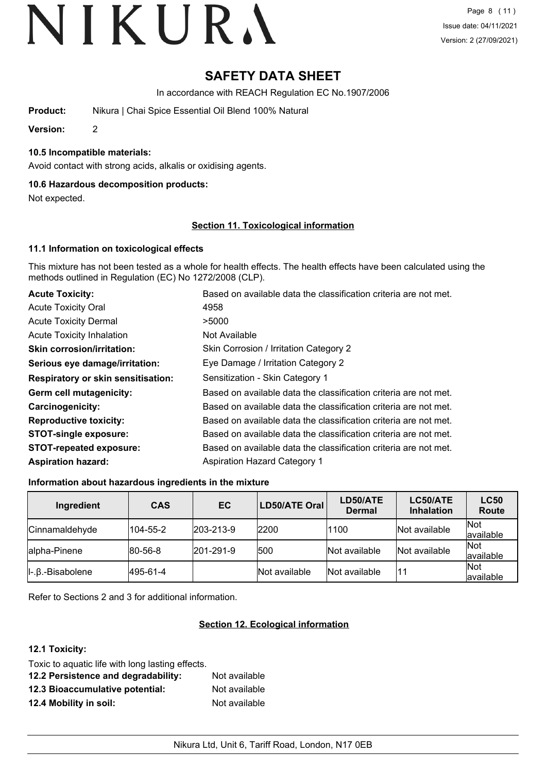# **SAFETY DATA SHEET**

In accordance with REACH Regulation EC No.1907/2006

**Product:** Nikura | Chai Spice Essential Oil Blend 100% Natural

**Version:** 2

**10.5 Incompatible materials:**

Avoid contact with strong acids, alkalis or oxidising agents.

#### **10.6 Hazardous decomposition products:**

Not expected.

#### **Section 11. Toxicological information**

#### **11.1 Information on toxicological effects**

This mixture has not been tested as a whole for health effects. The health effects have been calculated using the methods outlined in Regulation (EC) No 1272/2008 (CLP).

| <b>Acute Toxicity:</b>                    | Based on available data the classification criteria are not met. |  |  |
|-------------------------------------------|------------------------------------------------------------------|--|--|
| <b>Acute Toxicity Oral</b>                | 4958                                                             |  |  |
| <b>Acute Toxicity Dermal</b>              | >5000                                                            |  |  |
| <b>Acute Toxicity Inhalation</b>          | Not Available                                                    |  |  |
| <b>Skin corrosion/irritation:</b>         | Skin Corrosion / Irritation Category 2                           |  |  |
| Serious eye damage/irritation:            | Eye Damage / Irritation Category 2                               |  |  |
| <b>Respiratory or skin sensitisation:</b> | Sensitization - Skin Category 1                                  |  |  |
| Germ cell mutagenicity:                   | Based on available data the classification criteria are not met. |  |  |
| <b>Carcinogenicity:</b>                   | Based on available data the classification criteria are not met. |  |  |
| <b>Reproductive toxicity:</b>             | Based on available data the classification criteria are not met. |  |  |
| <b>STOT-single exposure:</b>              | Based on available data the classification criteria are not met. |  |  |
| <b>STOT-repeated exposure:</b>            | Based on available data the classification criteria are not met. |  |  |
| <b>Aspiration hazard:</b>                 | <b>Aspiration Hazard Category 1</b>                              |  |  |

#### **Information about hazardous ingredients in the mixture**

| Ingredient                          | <b>CAS</b> | EC                | LD50/ATE Oral | LD50/ATE<br><b>Dermal</b> | LC50/ATE<br><b>Inhalation</b> | <b>LC50</b><br>Route |
|-------------------------------------|------------|-------------------|---------------|---------------------------|-------------------------------|----------------------|
| Cinnamaldehyde                      | 104-55-2   | $ 203 - 213 - 9 $ | 2200          | 1100                      | Not available                 | Not<br>available     |
| alpha-Pinene                        | 80-56-8    | $ 201 - 291 - 9 $ | 500           | Not available             | Not available                 | Not<br>available     |
| $\parallel$ -. $\beta$ .-Bisabolene | 495-61-4   |                   | Not available | Not available             | 11                            | Not<br>lavailable    |

Refer to Sections 2 and 3 for additional information.

#### **Section 12. Ecological information**

## **12.1 Toxicity:**

| Toxic to aquatic life with long lasting effects. |               |
|--------------------------------------------------|---------------|
| 12.2 Persistence and degradability:              | Not available |
| 12.3 Bioaccumulative potential:                  | Not available |
| 12.4 Mobility in soil:                           | Not available |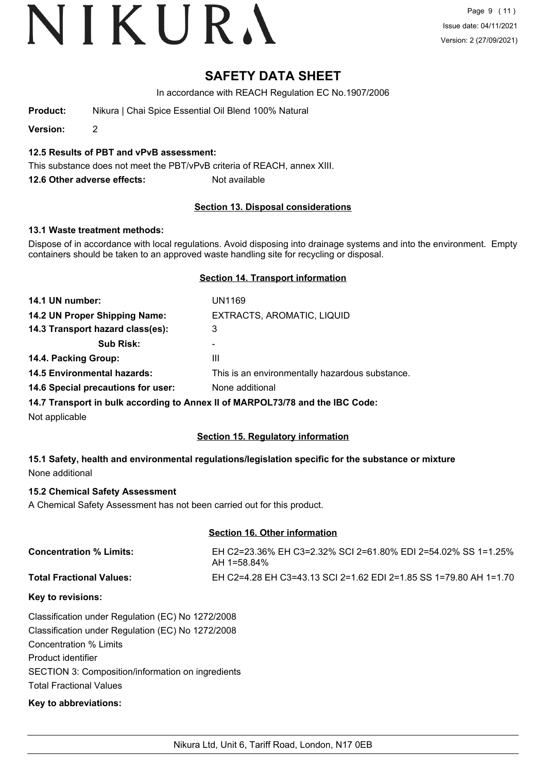# **SAFETY DATA SHEET**

In accordance with REACH Regulation EC No.1907/2006

**Product:** Nikura | Chai Spice Essential Oil Blend 100% Natural

**Version:** 2

## **12.5 Results of PBT and vPvB assessment:**

This substance does not meet the PBT/vPvB criteria of REACH, annex XIII.

**12.6 Other adverse effects:** Not available

## **Section 13. Disposal considerations**

#### **13.1 Waste treatment methods:**

Dispose of in accordance with local regulations. Avoid disposing into drainage systems and into the environment. Empty containers should be taken to an approved waste handling site for recycling or disposal.

### **Section 14. Transport information**

| 14.1 UN number:                    | UN1169                                                                        |
|------------------------------------|-------------------------------------------------------------------------------|
| 14.2 UN Proper Shipping Name:      | EXTRACTS, AROMATIC, LIQUID                                                    |
| 14.3 Transport hazard class(es):   | 3                                                                             |
| <b>Sub Risk:</b>                   | -                                                                             |
| 14.4. Packing Group:               | Ш                                                                             |
| <b>14.5 Environmental hazards:</b> | This is an environmentally hazardous substance.                               |
| 14.6 Special precautions for user: | None additional                                                               |
|                                    | 14.7 Transport in bulk according to Annex II of MARPOL73/78 and the IBC Code: |
|                                    |                                                                               |

Not applicable

## **Section 15. Regulatory information**

**15.1 Safety, health and environmental regulations/legislation specific for the substance or mixture** None additional

#### **15.2 Chemical Safety Assessment**

A Chemical Safety Assessment has not been carried out for this product.

#### **Section 16. Other information**

| <b>Concentration % Limits:</b>  | EH C2=23.36% EH C3=2.32% SCI 2=61.80% EDI 2=54.02% SS 1=1.25%<br>AH 1=58.84% |
|---------------------------------|------------------------------------------------------------------------------|
| <b>Total Fractional Values:</b> | EH C2=4.28 EH C3=43.13 SCI 2=1.62 EDI 2=1.85 SS 1=79.80 AH 1=1.70            |

#### **Key to revisions:**

Classification under Regulation (EC) No 1272/2008 Classification under Regulation (EC) No 1272/2008 Concentration % Limits Product identifier SECTION 3: Composition/information on ingredients Total Fractional Values

#### **Key to abbreviations:**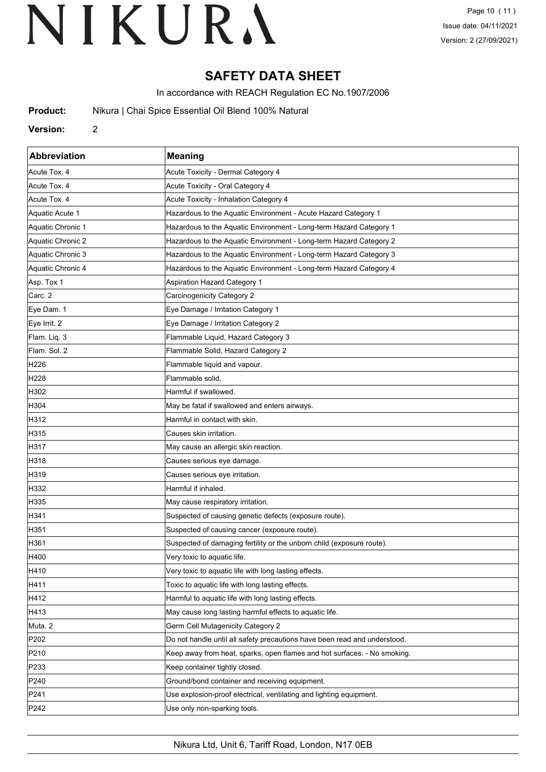# **SAFETY DATA SHEET**

In accordance with REACH Regulation EC No.1907/2006

**Product:** Nikura | Chai Spice Essential Oil Blend 100% Natural

#### **Version:** 2

| Abbreviation      | <b>Meaning</b>                                                            |
|-------------------|---------------------------------------------------------------------------|
| Acute Tox. 4      | Acute Toxicity - Dermal Category 4                                        |
| Acute Tox. 4      | Acute Toxicity - Oral Category 4                                          |
| Acute Tox. 4      | Acute Toxicity - Inhalation Category 4                                    |
| Aquatic Acute 1   | Hazardous to the Aquatic Environment - Acute Hazard Category 1            |
| Aquatic Chronic 1 | Hazardous to the Aquatic Environment - Long-term Hazard Category 1        |
| Aquatic Chronic 2 | Hazardous to the Aquatic Environment - Long-term Hazard Category 2        |
| Aquatic Chronic 3 | Hazardous to the Aquatic Environment - Long-term Hazard Category 3        |
| Aquatic Chronic 4 | Hazardous to the Aquatic Environment - Long-term Hazard Category 4        |
| Asp. Tox 1        | <b>Aspiration Hazard Category 1</b>                                       |
| Carc. 2           | Carcinogenicity Category 2                                                |
| Eye Dam. 1        | Eye Damage / Irritation Category 1                                        |
| Eye Irrit. 2      | Eye Damage / Irritation Category 2                                        |
| Flam. Liq. 3      | Flammable Liquid, Hazard Category 3                                       |
| Flam. Sol. 2      | Flammable Solid, Hazard Category 2                                        |
| H <sub>226</sub>  | Flammable liquid and vapour.                                              |
| H <sub>228</sub>  | Flammable solid.                                                          |
| H302              | Harmful if swallowed.                                                     |
| H304              | May be fatal if swallowed and enters airways.                             |
| H312              | Harmful in contact with skin.                                             |
| H315              | Causes skin irritation.                                                   |
| H317              | May cause an allergic skin reaction.                                      |
| H318              | Causes serious eye damage.                                                |
| H319              | Causes serious eye irritation.                                            |
| H332              | Harmful if inhaled.                                                       |
| H335              | May cause respiratory irritation.                                         |
| H341              | Suspected of causing genetic defects (exposure route).                    |
| H351              | Suspected of causing cancer (exposure route).                             |
| H361              | Suspected of damaging fertility or the unborn child (exposure route).     |
| H400              | Very toxic to aquatic life.                                               |
| H410              | Very toxic to aquatic life with long lasting effects.                     |
| H411              | Toxic to aquatic life with long lasting effects.                          |
| H412              | Harmful to aquatic life with long lasting effects.                        |
| H413              | May cause long lasting harmful effects to aquatic life.                   |
| Muta. 2           | Germ Cell Mutagenicity Category 2                                         |
| P202              | Do not handle until all safety precautions have been read and understood. |
| P210              | Keep away from heat, sparks, open flames and hot surfaces. - No smoking.  |
| P233              | Keep container tightly closed.                                            |
| P240              | Ground/bond container and receiving equipment.                            |
| P241              | Use explosion-proof electrical, ventilating and lighting equipment.       |
| P242              | Use only non-sparking tools.                                              |